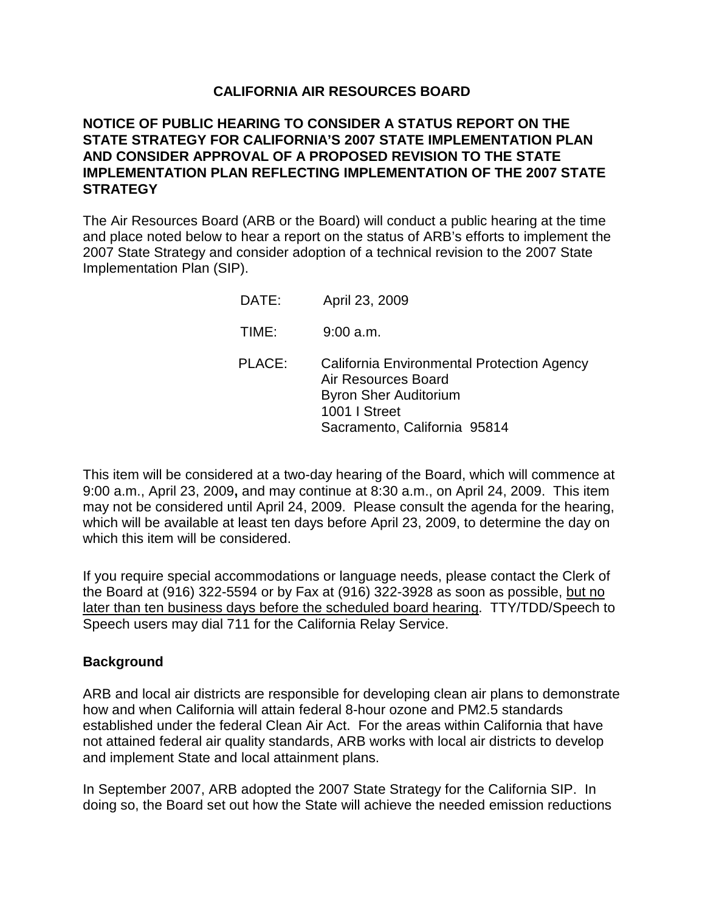## **CALIFORNIA AIR RESOURCES BOARD**

# **NOTICE OF PUBLIC HEARING TO CONSIDER A STATUS REPORT ON THE STATE STRATEGY FOR CALIFORNIA'S 2007 STATE IMPLEMENTATION PLAN AND CONSIDER APPROVAL OF A PROPOSED REVISION TO THE STATE IMPLEMENTATION PLAN REFLECTING IMPLEMENTATION OF THE 2007 STATE STRATEGY**

The Air Resources Board (ARB or the Board) will conduct a public hearing at the time and place noted below to hear a report on the status of ARB's efforts to implement the 2007 State Strategy and consider adoption of a technical revision to the 2007 State Implementation Plan (SIP).

| DATE:  | April 23, 2009                                                                                                                                     |
|--------|----------------------------------------------------------------------------------------------------------------------------------------------------|
| TIME:  | $9:00$ a.m.                                                                                                                                        |
| PLACE: | California Environmental Protection Agency<br>Air Resources Board<br><b>Byron Sher Auditorium</b><br>1001   Street<br>Sacramento, California 95814 |

This item will be considered at a two-day hearing of the Board, which will commence at 9:00 a.m., April 23, 2009**,** and may continue at 8:30 a.m., on April 24, 2009. This item may not be considered until April 24, 2009. Please consult the agenda for the hearing, which will be available at least ten days before April 23, 2009, to determine the day on which this item will be considered.

If you require special accommodations or language needs, please contact the Clerk of the Board at (916) 322-5594 or by Fax at (916) 322-3928 as soon as possible, but no later than ten business days before the scheduled board hearing. TTY/TDD/Speech to Speech users may dial 711 for the California Relay Service.

## **Background**

ARB and local air districts are responsible for developing clean air plans to demonstrate how and when California will attain federal 8-hour ozone and PM2.5 standards established under the federal Clean Air Act. For the areas within California that have not attained federal air quality standards, ARB works with local air districts to develop and implement State and local attainment plans.

In September 2007, ARB adopted the 2007 State Strategy for the California SIP. In doing so, the Board set out how the State will achieve the needed emission reductions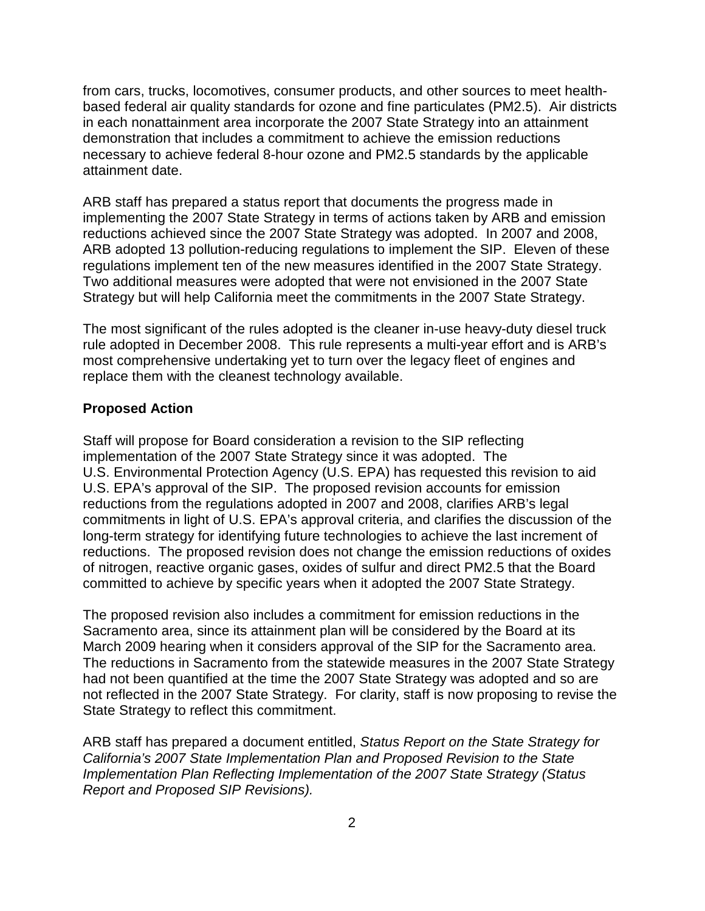from cars, trucks, locomotives, consumer products, and other sources to meet healthbased federal air quality standards for ozone and fine particulates (PM2.5). Air districts in each nonattainment area incorporate the 2007 State Strategy into an attainment demonstration that includes a commitment to achieve the emission reductions necessary to achieve federal 8-hour ozone and PM2.5 standards by the applicable attainment date.

ARB staff has prepared a status report that documents the progress made in implementing the 2007 State Strategy in terms of actions taken by ARB and emission reductions achieved since the 2007 State Strategy was adopted. In 2007 and 2008, ARB adopted 13 pollution-reducing regulations to implement the SIP. Eleven of these regulations implement ten of the new measures identified in the 2007 State Strategy. Two additional measures were adopted that were not envisioned in the 2007 State Strategy but will help California meet the commitments in the 2007 State Strategy.

The most significant of the rules adopted is the cleaner in-use heavy-duty diesel truck rule adopted in December 2008. This rule represents a multi-year effort and is ARB's most comprehensive undertaking yet to turn over the legacy fleet of engines and replace them with the cleanest technology available.

#### **Proposed Action**

Staff will propose for Board consideration a revision to the SIP reflecting implementation of the 2007 State Strategy since it was adopted. The U.S. Environmental Protection Agency (U.S. EPA) has requested this revision to aid U.S. EPA's approval of the SIP. The proposed revision accounts for emission reductions from the regulations adopted in 2007 and 2008, clarifies ARB's legal commitments in light of U.S. EPA's approval criteria, and clarifies the discussion of the long-term strategy for identifying future technologies to achieve the last increment of reductions. The proposed revision does not change the emission reductions of oxides of nitrogen, reactive organic gases, oxides of sulfur and direct PM2.5 that the Board committed to achieve by specific years when it adopted the 2007 State Strategy.

The proposed revision also includes a commitment for emission reductions in the Sacramento area, since its attainment plan will be considered by the Board at its March 2009 hearing when it considers approval of the SIP for the Sacramento area. The reductions in Sacramento from the statewide measures in the 2007 State Strategy had not been quantified at the time the 2007 State Strategy was adopted and so are not reflected in the 2007 State Strategy. For clarity, staff is now proposing to revise the State Strategy to reflect this commitment.

ARB staff has prepared a document entitled, Status Report on the State Strategy for California's 2007 State Implementation Plan and Proposed Revision to the State Implementation Plan Reflecting Implementation of the 2007 State Strategy (Status Report and Proposed SIP Revisions).